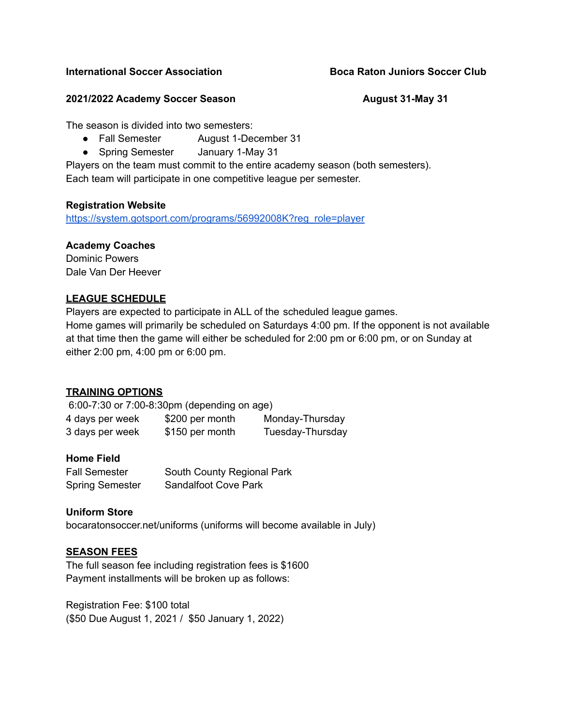#### **2021/2022 Academy Soccer Season August 31-May 31**

The season is divided into two semesters:

- Fall Semester August 1-December 31
- Spring Semester January 1-May 31

Players on the team must commit to the entire academy season (both semesters). Each team will participate in one competitive league per semester.

#### **Registration Website**

[https://system.gotsport.com/programs/56992008K?reg\\_role=player](https://system.gotsport.com/programs/56992008K?reg_role=player)

#### **Academy Coaches**

Dominic Powers Dale Van Der Heever

# **LEAGUE SCHEDULE**

Players are expected to participate in ALL of the scheduled league games. Home games will primarily be scheduled on Saturdays 4:00 pm. If the opponent is not available at that time then the game will either be scheduled for 2:00 pm or 6:00 pm, or on Sunday at either 2:00 pm, 4:00 pm or 6:00 pm.

# **TRAINING OPTIONS**

6:00-7:30 or 7:00-8:30pm (depending on age) 4 days per week \$200 per month Monday-Thursday 3 days per week \$150 per month Tuesday-Thursday

# **Home Field**

| Fall Semester          | South County Regional Park  |
|------------------------|-----------------------------|
| <b>Spring Semester</b> | <b>Sandalfoot Cove Park</b> |

# **Uniform Store**

bocaratonsoccer.net/uniforms (uniforms will become available in July)

# **SEASON FEES**

The full season fee including registration fees is \$1600 Payment installments will be broken up as follows:

Registration Fee: \$100 total (\$50 Due August 1, 2021 / \$50 January 1, 2022)

### **International Soccer Association Boca Raton Juniors Soccer Club**